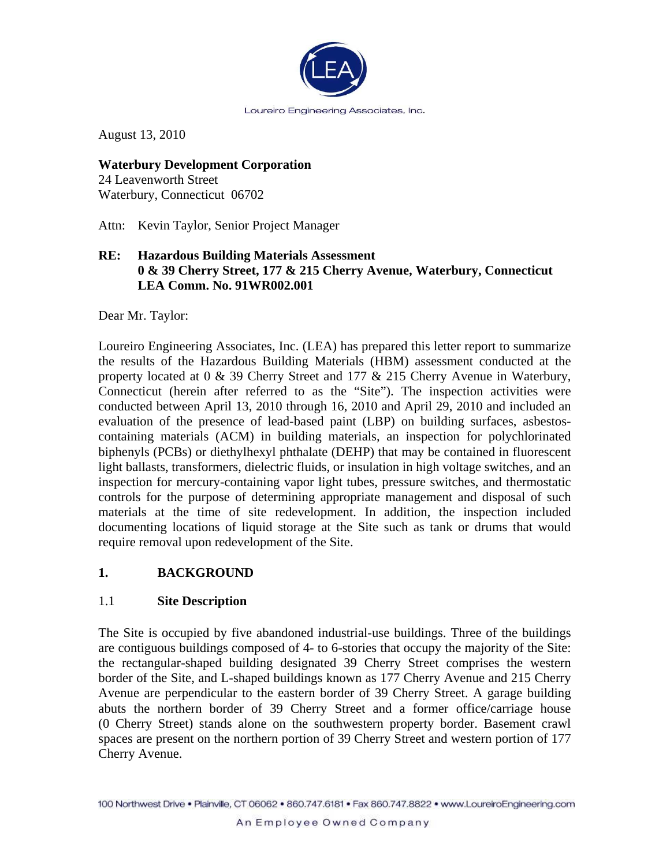

August 13, 2010

**Waterbury Development Corporation**  24 Leavenworth Street Waterbury, Connecticut 06702

Attn: Kevin Taylor, Senior Project Manager

#### **RE: Hazardous Building Materials Assessment 0 & 39 Cherry Street, 177 & 215 Cherry Avenue, Waterbury, Connecticut LEA Comm. No. 91WR002.001**

Dear Mr. Taylor:

Loureiro Engineering Associates, Inc. (LEA) has prepared this letter report to summarize the results of the Hazardous Building Materials (HBM) assessment conducted at the property located at 0 & 39 Cherry Street and 177 & 215 Cherry Avenue in Waterbury, Connecticut (herein after referred to as the "Site"). The inspection activities were conducted between April 13, 2010 through 16, 2010 and April 29, 2010 and included an evaluation of the presence of lead-based paint (LBP) on building surfaces, asbestoscontaining materials (ACM) in building materials, an inspection for polychlorinated biphenyls (PCBs) or diethylhexyl phthalate (DEHP) that may be contained in fluorescent light ballasts, transformers, dielectric fluids, or insulation in high voltage switches, and an inspection for mercury-containing vapor light tubes, pressure switches, and thermostatic controls for the purpose of determining appropriate management and disposal of such materials at the time of site redevelopment. In addition, the inspection included documenting locations of liquid storage at the Site such as tank or drums that would require removal upon redevelopment of the Site.

#### **1. BACKGROUND**

#### 1.1 **Site Description**

The Site is occupied by five abandoned industrial-use buildings. Three of the buildings are contiguous buildings composed of 4- to 6-stories that occupy the majority of the Site: the rectangular-shaped building designated 39 Cherry Street comprises the western border of the Site, and L-shaped buildings known as 177 Cherry Avenue and 215 Cherry Avenue are perpendicular to the eastern border of 39 Cherry Street. A garage building abuts the northern border of 39 Cherry Street and a former office/carriage house (0 Cherry Street) stands alone on the southwestern property border. Basement crawl spaces are present on the northern portion of 39 Cherry Street and western portion of 177 Cherry Avenue.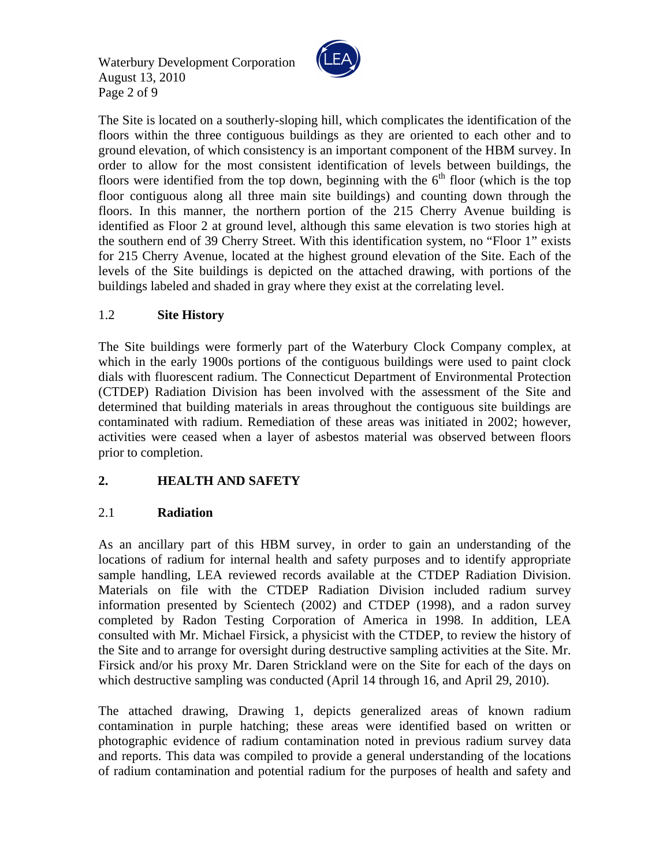Waterbury Development Corporation August 13, 2010 Page 2 of 9



The Site is located on a southerly-sloping hill, which complicates the identification of the floors within the three contiguous buildings as they are oriented to each other and to ground elevation, of which consistency is an important component of the HBM survey. In order to allow for the most consistent identification of levels between buildings, the floors were identified from the top down, beginning with the  $6<sup>th</sup>$  floor (which is the top floor contiguous along all three main site buildings) and counting down through the floors. In this manner, the northern portion of the 215 Cherry Avenue building is identified as Floor 2 at ground level, although this same elevation is two stories high at the southern end of 39 Cherry Street. With this identification system, no "Floor 1" exists for 215 Cherry Avenue, located at the highest ground elevation of the Site. Each of the levels of the Site buildings is depicted on the attached drawing, with portions of the buildings labeled and shaded in gray where they exist at the correlating level.

### 1.2 **Site History**

The Site buildings were formerly part of the Waterbury Clock Company complex, at which in the early 1900s portions of the contiguous buildings were used to paint clock dials with fluorescent radium. The Connecticut Department of Environmental Protection (CTDEP) Radiation Division has been involved with the assessment of the Site and determined that building materials in areas throughout the contiguous site buildings are contaminated with radium. Remediation of these areas was initiated in 2002; however, activities were ceased when a layer of asbestos material was observed between floors prior to completion.

## **2. HEALTH AND SAFETY**

## 2.1 **Radiation**

As an ancillary part of this HBM survey, in order to gain an understanding of the locations of radium for internal health and safety purposes and to identify appropriate sample handling, LEA reviewed records available at the CTDEP Radiation Division. Materials on file with the CTDEP Radiation Division included radium survey information presented by Scientech (2002) and CTDEP (1998), and a radon survey completed by Radon Testing Corporation of America in 1998. In addition, LEA consulted with Mr. Michael Firsick, a physicist with the CTDEP, to review the history of the Site and to arrange for oversight during destructive sampling activities at the Site. Mr. Firsick and/or his proxy Mr. Daren Strickland were on the Site for each of the days on which destructive sampling was conducted (April 14 through 16, and April 29, 2010).

The attached drawing, Drawing 1, depicts generalized areas of known radium contamination in purple hatching; these areas were identified based on written or photographic evidence of radium contamination noted in previous radium survey data and reports. This data was compiled to provide a general understanding of the locations of radium contamination and potential radium for the purposes of health and safety and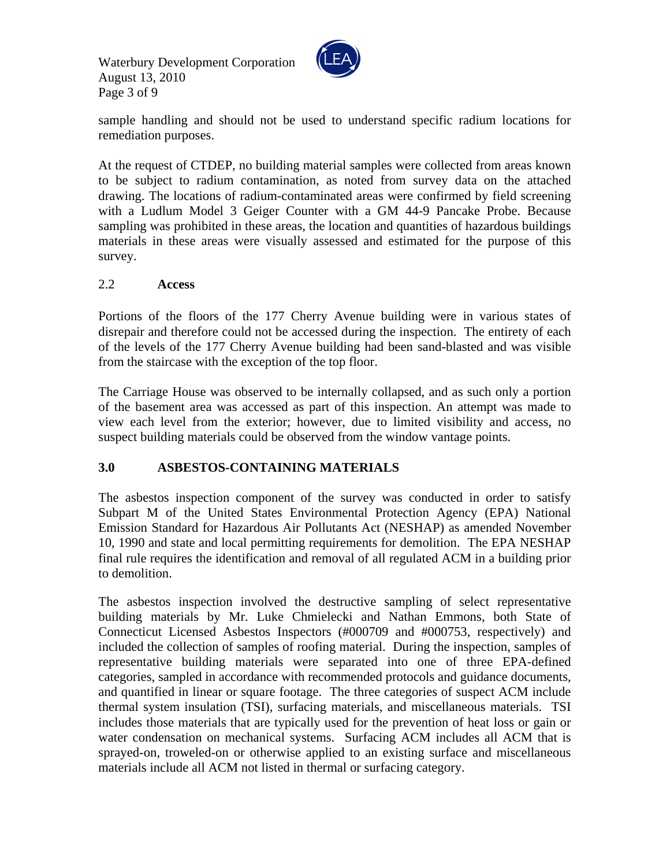Waterbury Development Corporation August 13, 2010 Page 3 of 9



sample handling and should not be used to understand specific radium locations for remediation purposes.

At the request of CTDEP, no building material samples were collected from areas known to be subject to radium contamination, as noted from survey data on the attached drawing. The locations of radium-contaminated areas were confirmed by field screening with a Ludlum Model 3 Geiger Counter with a GM 44-9 Pancake Probe. Because sampling was prohibited in these areas, the location and quantities of hazardous buildings materials in these areas were visually assessed and estimated for the purpose of this survey.

#### 2.2 **Access**

Portions of the floors of the 177 Cherry Avenue building were in various states of disrepair and therefore could not be accessed during the inspection. The entirety of each of the levels of the 177 Cherry Avenue building had been sand-blasted and was visible from the staircase with the exception of the top floor.

The Carriage House was observed to be internally collapsed, and as such only a portion of the basement area was accessed as part of this inspection. An attempt was made to view each level from the exterior; however, due to limited visibility and access, no suspect building materials could be observed from the window vantage points.

## **3.0 ASBESTOS-CONTAINING MATERIALS**

The asbestos inspection component of the survey was conducted in order to satisfy Subpart M of the United States Environmental Protection Agency (EPA) National Emission Standard for Hazardous Air Pollutants Act (NESHAP) as amended November 10, 1990 and state and local permitting requirements for demolition. The EPA NESHAP final rule requires the identification and removal of all regulated ACM in a building prior to demolition.

The asbestos inspection involved the destructive sampling of select representative building materials by Mr. Luke Chmielecki and Nathan Emmons, both State of Connecticut Licensed Asbestos Inspectors (#000709 and #000753, respectively) and included the collection of samples of roofing material. During the inspection, samples of representative building materials were separated into one of three EPA-defined categories, sampled in accordance with recommended protocols and guidance documents, and quantified in linear or square footage. The three categories of suspect ACM include thermal system insulation (TSI), surfacing materials, and miscellaneous materials. TSI includes those materials that are typically used for the prevention of heat loss or gain or water condensation on mechanical systems. Surfacing ACM includes all ACM that is sprayed-on, troweled-on or otherwise applied to an existing surface and miscellaneous materials include all ACM not listed in thermal or surfacing category.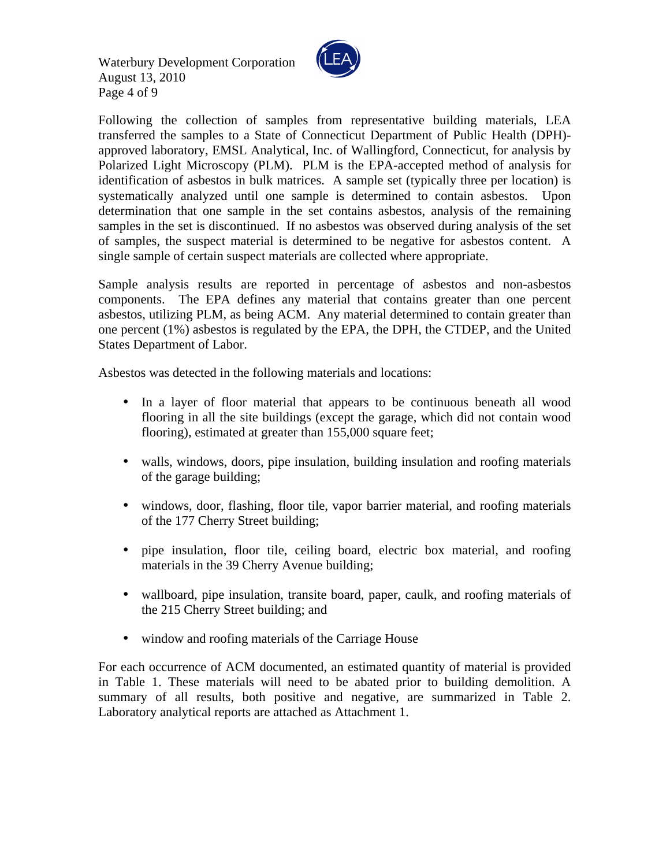Waterbury Development Corporation August 13, 2010 Page 4 of 9



Following the collection of samples from representative building materials, LEA transferred the samples to a State of Connecticut Department of Public Health (DPH) approved laboratory, EMSL Analytical, Inc. of Wallingford, Connecticut, for analysis by Polarized Light Microscopy (PLM). PLM is the EPA-accepted method of analysis for identification of asbestos in bulk matrices. A sample set (typically three per location) is systematically analyzed until one sample is determined to contain asbestos. Upon determination that one sample in the set contains asbestos, analysis of the remaining samples in the set is discontinued. If no asbestos was observed during analysis of the set of samples, the suspect material is determined to be negative for asbestos content. A single sample of certain suspect materials are collected where appropriate.

Sample analysis results are reported in percentage of asbestos and non-asbestos components. The EPA defines any material that contains greater than one percent asbestos, utilizing PLM, as being ACM. Any material determined to contain greater than one percent (1%) asbestos is regulated by the EPA, the DPH, the CTDEP, and the United States Department of Labor.

Asbestos was detected in the following materials and locations:

- In a layer of floor material that appears to be continuous beneath all wood flooring in all the site buildings (except the garage, which did not contain wood flooring), estimated at greater than 155,000 square feet;
- walls, windows, doors, pipe insulation, building insulation and roofing materials of the garage building;
- windows, door, flashing, floor tile, vapor barrier material, and roofing materials of the 177 Cherry Street building;
- pipe insulation, floor tile, ceiling board, electric box material, and roofing materials in the 39 Cherry Avenue building;
- wallboard, pipe insulation, transite board, paper, caulk, and roofing materials of the 215 Cherry Street building; and
- window and roofing materials of the Carriage House

For each occurrence of ACM documented, an estimated quantity of material is provided in Table 1. These materials will need to be abated prior to building demolition. A summary of all results, both positive and negative, are summarized in Table 2. Laboratory analytical reports are attached as Attachment 1.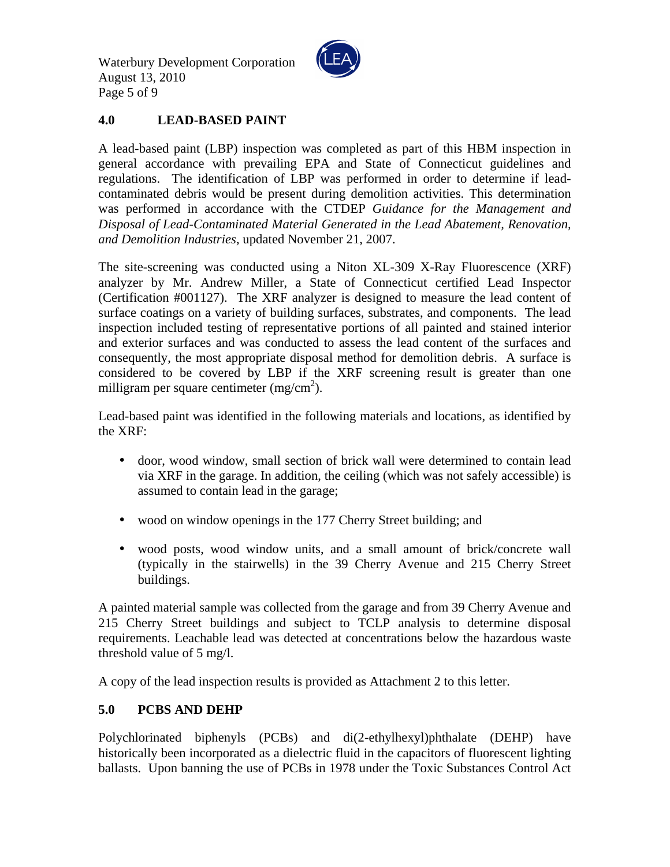Waterbury Development Corporation August 13, 2010 Page 5 of 9



## **4.0 LEAD-BASED PAINT**

A lead-based paint (LBP) inspection was completed as part of this HBM inspection in general accordance with prevailing EPA and State of Connecticut guidelines and regulations. The identification of LBP was performed in order to determine if leadcontaminated debris would be present during demolition activities. This determination was performed in accordance with the CTDEP *Guidance for the Management and Disposal of Lead-Contaminated Material Generated in the Lead Abatement, Renovation, and Demolition Industries*, updated November 21, 2007.

The site-screening was conducted using a Niton XL-309 X-Ray Fluorescence (XRF) analyzer by Mr. Andrew Miller, a State of Connecticut certified Lead Inspector (Certification #001127). The XRF analyzer is designed to measure the lead content of surface coatings on a variety of building surfaces, substrates, and components. The lead inspection included testing of representative portions of all painted and stained interior and exterior surfaces and was conducted to assess the lead content of the surfaces and consequently, the most appropriate disposal method for demolition debris. A surface is considered to be covered by LBP if the XRF screening result is greater than one milligram per square centimeter  $(mg/cm<sup>2</sup>)$ .

Lead-based paint was identified in the following materials and locations, as identified by the XRF:

- door, wood window, small section of brick wall were determined to contain lead via XRF in the garage. In addition, the ceiling (which was not safely accessible) is assumed to contain lead in the garage;
- wood on window openings in the 177 Cherry Street building; and
- wood posts, wood window units, and a small amount of brick/concrete wall (typically in the stairwells) in the 39 Cherry Avenue and 215 Cherry Street buildings.

A painted material sample was collected from the garage and from 39 Cherry Avenue and 215 Cherry Street buildings and subject to TCLP analysis to determine disposal requirements. Leachable lead was detected at concentrations below the hazardous waste threshold value of 5 mg/l.

A copy of the lead inspection results is provided as Attachment 2 to this letter.

## **5.0 PCBS AND DEHP**

Polychlorinated biphenyls (PCBs) and di(2-ethylhexyl)phthalate (DEHP) have historically been incorporated as a dielectric fluid in the capacitors of fluorescent lighting ballasts. Upon banning the use of PCBs in 1978 under the Toxic Substances Control Act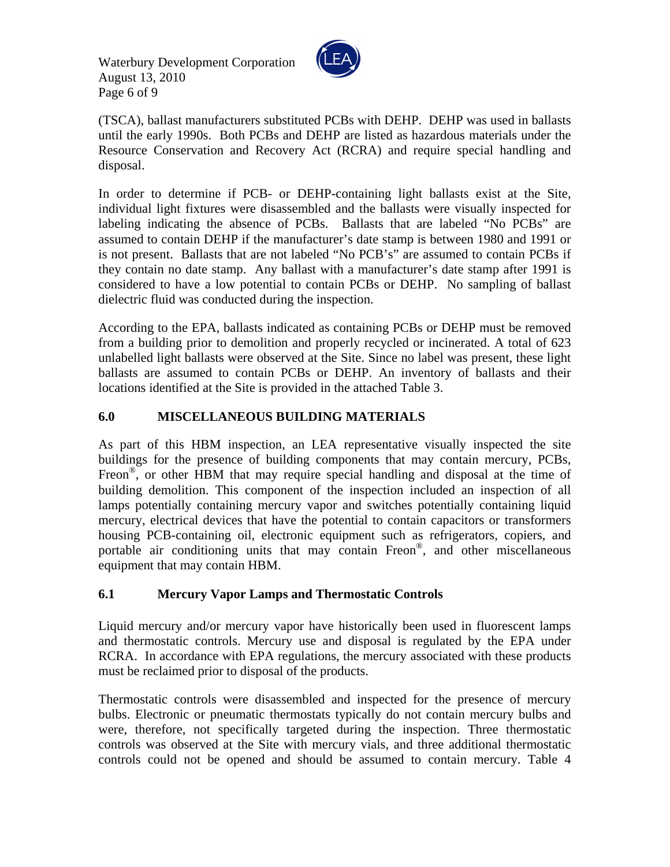Waterbury Development Corporation August 13, 2010 Page 6 of 9



(TSCA), ballast manufacturers substituted PCBs with DEHP. DEHP was used in ballasts until the early 1990s. Both PCBs and DEHP are listed as hazardous materials under the Resource Conservation and Recovery Act (RCRA) and require special handling and disposal.

In order to determine if PCB- or DEHP-containing light ballasts exist at the Site, individual light fixtures were disassembled and the ballasts were visually inspected for labeling indicating the absence of PCBs. Ballasts that are labeled "No PCBs" are assumed to contain DEHP if the manufacturer's date stamp is between 1980 and 1991 or is not present. Ballasts that are not labeled "No PCB's" are assumed to contain PCBs if they contain no date stamp. Any ballast with a manufacturer's date stamp after 1991 is considered to have a low potential to contain PCBs or DEHP. No sampling of ballast dielectric fluid was conducted during the inspection.

According to the EPA, ballasts indicated as containing PCBs or DEHP must be removed from a building prior to demolition and properly recycled or incinerated. A total of 623 unlabelled light ballasts were observed at the Site. Since no label was present, these light ballasts are assumed to contain PCBs or DEHP. An inventory of ballasts and their locations identified at the Site is provided in the attached Table 3.

# **6.0 MISCELLANEOUS BUILDING MATERIALS**

As part of this HBM inspection, an LEA representative visually inspected the site buildings for the presence of building components that may contain mercury, PCBs, Freon<sup>®</sup>, or other HBM that may require special handling and disposal at the time of building demolition. This component of the inspection included an inspection of all lamps potentially containing mercury vapor and switches potentially containing liquid mercury, electrical devices that have the potential to contain capacitors or transformers housing PCB-containing oil, electronic equipment such as refrigerators, copiers, and portable air conditioning units that may contain Freon® , and other miscellaneous equipment that may contain HBM.

## **6.1 Mercury Vapor Lamps and Thermostatic Controls**

Liquid mercury and/or mercury vapor have historically been used in fluorescent lamps and thermostatic controls. Mercury use and disposal is regulated by the EPA under RCRA. In accordance with EPA regulations, the mercury associated with these products must be reclaimed prior to disposal of the products.

Thermostatic controls were disassembled and inspected for the presence of mercury bulbs. Electronic or pneumatic thermostats typically do not contain mercury bulbs and were, therefore, not specifically targeted during the inspection. Three thermostatic controls was observed at the Site with mercury vials, and three additional thermostatic controls could not be opened and should be assumed to contain mercury. Table 4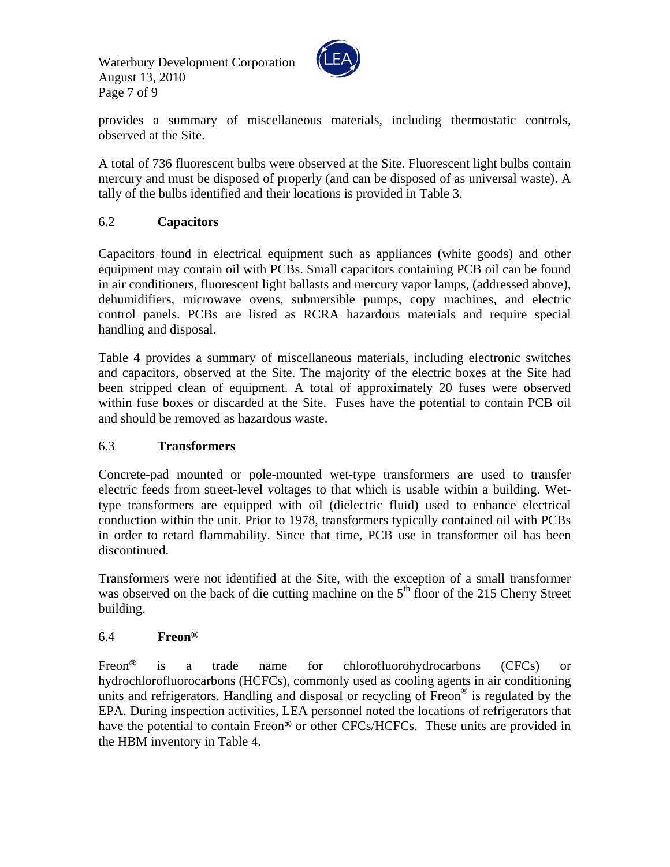Waterbury Development Corporation August 13, 2010 Page 7 of 9



provides a summary of miscellaneous materials, including thermostatic controls, observed at the Site.

A total of 736 fluorescent bulbs were observed at the Site. Fluorescent light bulbs contain mercury and must be disposed of properly (and can be disposed of as universal waste). A tally of the bulbs identified and their locations is provided in Table 3.

# 6.2 **Capacitors**

Capacitors found in electrical equipment such as appliances (white goods) and other equipment may contain oil with PCBs. Small capacitors containing PCB oil can be found in air conditioners, fluorescent light ballasts and mercury vapor lamps, (addressed above), dehumidifiers, microwave ovens, submersible pumps, copy machines, and electric control panels. PCBs are listed as RCRA hazardous materials and require special handling and disposal.

Table 4 provides a summary of miscellaneous materials, including electronic switches and capacitors, observed at the Site. The majority of the electric boxes at the Site had been stripped clean of equipment. A total of approximately 20 fuses were observed within fuse boxes or discarded at the Site. Fuses have the potential to contain PCB oil and should be removed as hazardous waste.

#### 6.3 **Transformers**

Concrete-pad mounted or pole-mounted wet-type transformers are used to transfer electric feeds from street-level voltages to that which is usable within a building. Wettype transformers are equipped with oil (dielectric fluid) used to enhance electrical conduction within the unit. Prior to 1978, transformers typically contained oil with PCBs in order to retard flammability. Since that time, PCB use in transformer oil has been discontinued.

Transformers were not identified at the Site, with the exception of a small transformer was observed on the back of die cutting machine on the  $5<sup>th</sup>$  floor of the 215 Cherry Street building.

## 6.4 **Freon®**

Freon**®** is a trade name for chlorofluorohydrocarbons (CFCs) or hydrochlorofluorocarbons (HCFCs), commonly used as cooling agents in air conditioning units and refrigerators. Handling and disposal or recycling of Freon® is regulated by the EPA. During inspection activities, LEA personnel noted the locations of refrigerators that have the potential to contain Freon**®** or other CFCs/HCFCs. These units are provided in the HBM inventory in Table 4.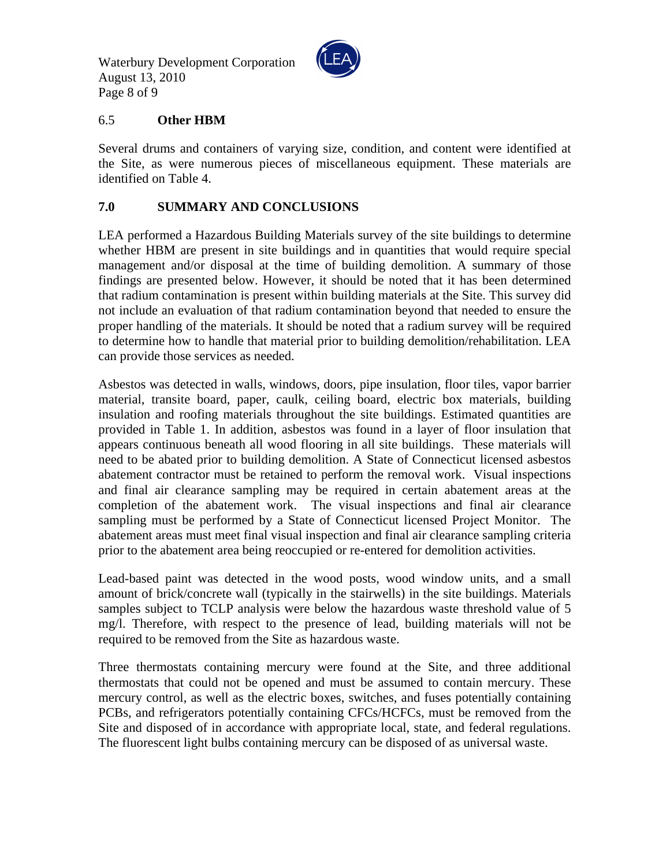Waterbury Development Corporation August 13, 2010 Page 8 of 9



#### 6.5 **Other HBM**

Several drums and containers of varying size, condition, and content were identified at the Site, as were numerous pieces of miscellaneous equipment. These materials are identified on Table 4.

#### **7.0 SUMMARY AND CONCLUSIONS**

LEA performed a Hazardous Building Materials survey of the site buildings to determine whether HBM are present in site buildings and in quantities that would require special management and/or disposal at the time of building demolition. A summary of those findings are presented below. However, it should be noted that it has been determined that radium contamination is present within building materials at the Site. This survey did not include an evaluation of that radium contamination beyond that needed to ensure the proper handling of the materials. It should be noted that a radium survey will be required to determine how to handle that material prior to building demolition/rehabilitation. LEA can provide those services as needed.

Asbestos was detected in walls, windows, doors, pipe insulation, floor tiles, vapor barrier material, transite board, paper, caulk, ceiling board, electric box materials, building insulation and roofing materials throughout the site buildings. Estimated quantities are provided in Table 1. In addition, asbestos was found in a layer of floor insulation that appears continuous beneath all wood flooring in all site buildings. These materials will need to be abated prior to building demolition. A State of Connecticut licensed asbestos abatement contractor must be retained to perform the removal work. Visual inspections and final air clearance sampling may be required in certain abatement areas at the completion of the abatement work. The visual inspections and final air clearance sampling must be performed by a State of Connecticut licensed Project Monitor. The abatement areas must meet final visual inspection and final air clearance sampling criteria prior to the abatement area being reoccupied or re-entered for demolition activities.

Lead-based paint was detected in the wood posts, wood window units, and a small amount of brick/concrete wall (typically in the stairwells) in the site buildings. Materials samples subject to TCLP analysis were below the hazardous waste threshold value of 5 mg/l. Therefore, with respect to the presence of lead, building materials will not be required to be removed from the Site as hazardous waste.

Three thermostats containing mercury were found at the Site, and three additional thermostats that could not be opened and must be assumed to contain mercury. These mercury control, as well as the electric boxes, switches, and fuses potentially containing PCBs, and refrigerators potentially containing CFCs/HCFCs, must be removed from the Site and disposed of in accordance with appropriate local, state, and federal regulations. The fluorescent light bulbs containing mercury can be disposed of as universal waste.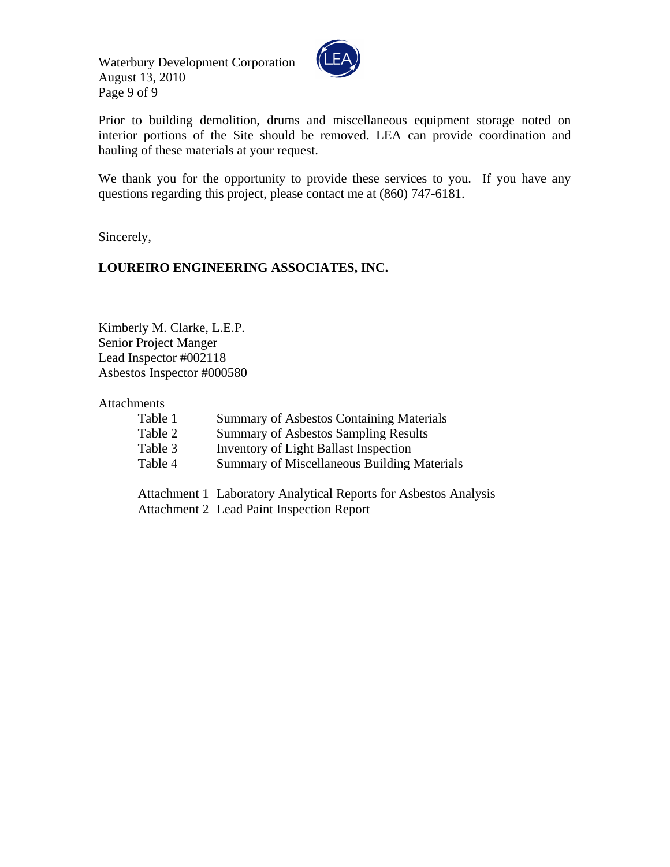Waterbury Development Corporation August 13, 2010 Page 9 of 9



Prior to building demolition, drums and miscellaneous equipment storage noted on interior portions of the Site should be removed. LEA can provide coordination and hauling of these materials at your request.

We thank you for the opportunity to provide these services to you. If you have any questions regarding this project, please contact me at (860) 747-6181.

Sincerely,

### **LOUREIRO ENGINEERING ASSOCIATES, INC.**

Kimberly M. Clarke, L.E.P. Senior Project Manger Lead Inspector #002118 Asbestos Inspector #000580

Attachments

| Table 1 | <b>Summary of Asbestos Containing Materials</b>                  |
|---------|------------------------------------------------------------------|
| Table 2 | <b>Summary of Asbestos Sampling Results</b>                      |
| Table 3 | <b>Inventory of Light Ballast Inspection</b>                     |
| Table 4 | <b>Summary of Miscellaneous Building Materials</b>               |
|         |                                                                  |
|         | Attachment 1 Laboratory Analytical Reports for Asbestos Analysis |

Attachment 2 Lead Paint Inspection Report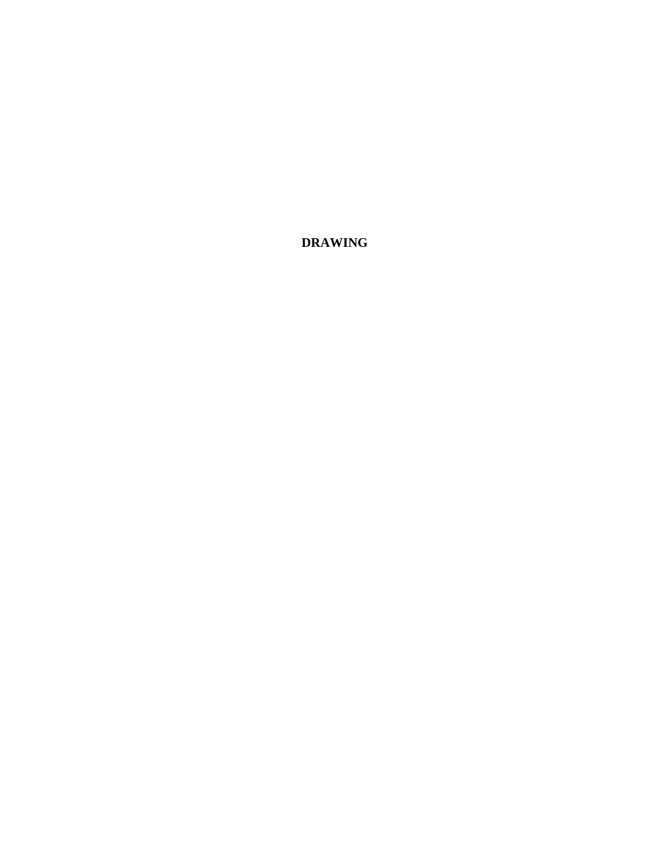**DRAWING**